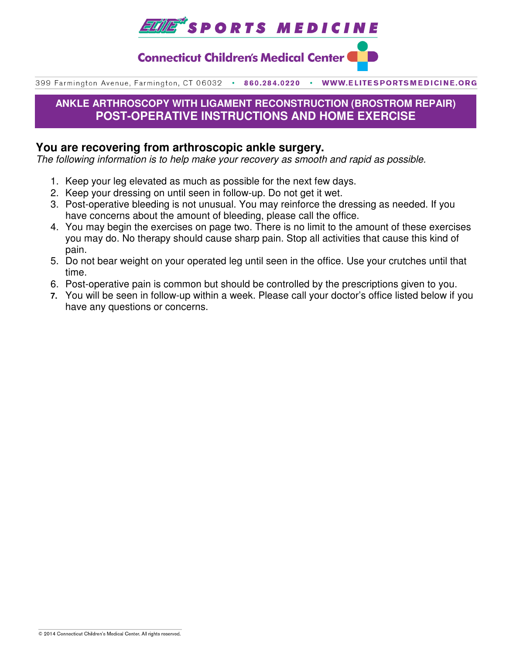

**Connecticut Children's Medical Center (** 

399 Farmington Avenue, Farmington, CT 06032 . 860.284.0220  $\bullet$ WWW.ELITESPORTSMEDICINE.ORG

## **ANKLE ARTHROSCOPY WITH LIGAMENT RECONSTRUCTION (BROSTROM REPAIR) POST-OPERATIVE INSTRUCTIONS AND HOME EXERCISE**

### **You are recovering from arthroscopic ankle surgery.**

The following information is to help make your recovery as smooth and rapid as possible.

- 1. Keep your leg elevated as much as possible for the next few days.
- 2. Keep your dressing on until seen in follow-up. Do not get it wet.
- 3. Post-operative bleeding is not unusual. You may reinforce the dressing as needed. If you have concerns about the amount of bleeding, please call the office.
- 4. You may begin the exercises on page two. There is no limit to the amount of these exercises you may do. No therapy should cause sharp pain. Stop all activities that cause this kind of pain.
- 5. Do not bear weight on your operated leg until seen in the office. Use your crutches until that time.
- 6. Post-operative pain is common but should be controlled by the prescriptions given to you.
- **7.** You will be seen in follow-up within a week. Please call your doctor's office listed below if you have any questions or concerns.